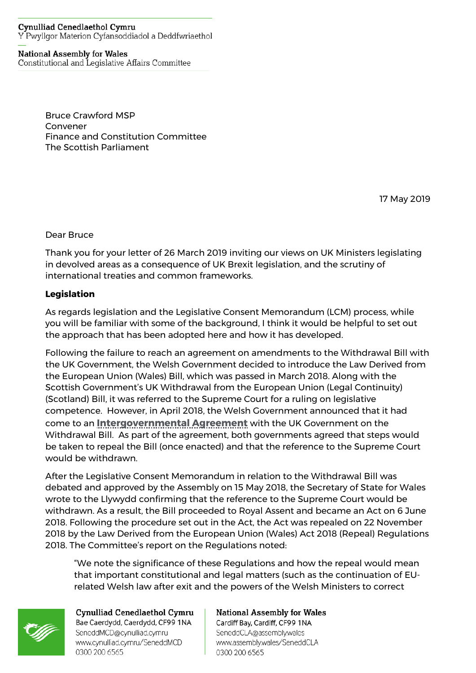#### **Cynulliad Cenedlaethol Cymru** Y Pwyllgor Materion Cyfansoddiadol a Deddfwriaethol

# **National Assembly for Wales**

Constitutional and Legislative Affairs Committee

Bruce Crawford MSP Convener Finance and Constitution Committee The Scottish Parliament

17 May 2019

Dear Bruce

Thank you for your letter of 26 March 2019 inviting our views on UK Ministers legislating in devolved areas as a consequence of UK Brexit legislation, and the scrutiny of international treaties and common frameworks.

## **Legislation**

As regards legislation and the Legislative Consent Memorandum (LCM) process, while you will be familiar with some of the background, I think it would be helpful to set out the approach that has been adopted here and how it has developed.

Following the failure to reach an agreement on amendments to the Withdrawal Bill with the UK Government, the Welsh Government decided to introduce the Law Derived from the European Union (Wales) Bill, which was passed in March 2018. Along with the Scottish Government's UK Withdrawal from the European Union (Legal Continuity) (Scotland) Bill, it was referred to the Supreme Court for a ruling on legislative competence. However, in April 2018, the Welsh Government announced that it had come to an **[Intergovernmental](https://www.gov.uk/government/publications/intergovernmental-agreement-on-the-european-union-withdrawal-bill) Agreement** with the UK Government on the Withdrawal Bill. As part of the agreement, both governments agreed that steps would be taken to repeal the Bill (once enacted) and that the reference to the Supreme Court would be withdrawn.

After the Legislative Consent Memorandum in relation to the Withdrawal Bill was debated and approved by the Assembly on 15 May 2018, the Secretary of State for Wales wrote to the Llywydd confirming that the reference to the Supreme Court would be withdrawn. As a result, the Bill proceeded to Royal Assent and became an Act on 6 June 2018. Following the procedure set out in the Act, the Act was repealed on 22 November 2018 by the Law Derived from the European Union (Wales) Act 2018 (Repeal) Regulations 2018. The Committee's report on the Regulations noted:

"We note the significance of these Regulations and how the repeal would mean that important constitutional and legal matters (such as the continuation of EUrelated Welsh law after exit and the powers of the Welsh Ministers to correct



Cynulliad Cenedlaethol Cymru Bae Caerdydd, Caerdydd, CF99 1NA SeneddMCD@cynulliad.cymru www.cynulliad.cymru/SeneddMCD 0300 200 6565

**National Assembly for Wales** Cardiff Bay, Cardiff, CF99 1NA SeneddCLA@assembly.wales www.assembly.wales/SeneddCLA 0300 200 6565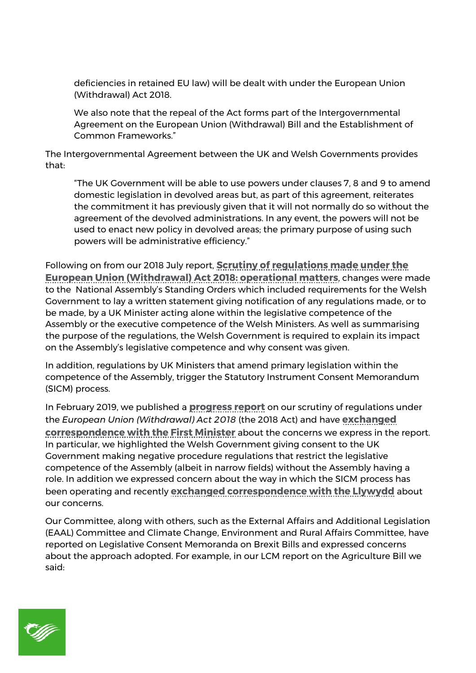deficiencies in retained EU law) will be dealt with under the European Union (Withdrawal) Act 2018.

We also note that the repeal of the Act forms part of the Intergovernmental Agreement on the European Union (Withdrawal) Bill and the Establishment of Common Frameworks."

The Intergovernmental Agreement between the UK and Welsh Governments provides that:

"The UK Government will be able to use powers under clauses 7, 8 and 9 to amend domestic legislation in devolved areas but, as part of this agreement, reiterates the commitment it has previously given that it will not normally do so without the agreement of the devolved administrations. In any event, the powers will not be used to enact new policy in devolved areas; the primary purpose of using such powers will be administrative efficiency."

Following on from our 2018 July report, **Scrutiny of [regulations](http://www.assembly.wales/laid%20documents/cr-ld11654/cr-ld11654-e.pdf) made under the European Union [\(Withdrawal\)](http://www.assembly.wales/laid%20documents/cr-ld11654/cr-ld11654-e.pdf) Act 2018: operational matters**, changes were made to the National Assembly's Standing Orders which included requirements for the Welsh Government to lay a written statement giving notification of any regulations made, or to be made, by a UK Minister acting alone within the legislative competence of the Assembly or the executive competence of the Welsh Ministers. As well as summarising the purpose of the regulations, the Welsh Government is required to explain its impact on the Assembly's legislative competence and why consent was given.

In addition, regulations by UK Ministers that amend primary legislation within the competence of the Assembly, trigger the Statutory Instrument Consent Memorandum (SICM) process.

In February 2019, we published a **[progress](http://www.assembly.wales/laid%20documents/cr-ld12128/cr-ld12128-e.pdf) report** on our scrutiny of regulations under the *European Union (Withdrawal) Act 2018* (the 2018 Act) and have **[exchanged](http://senedd.assembly.wales/mgIssueHistoryHome.aspx?IId=20801) [correspondence](http://senedd.assembly.wales/mgIssueHistoryHome.aspx?IId=20801) with the First Minister** about the concerns we express in the report. In particular, we highlighted the Welsh Government giving consent to the UK Government making negative procedure regulations that restrict the legislative competence of the Assembly (albeit in narrow fields) without the Assembly having a role. In addition we expressed concern about the way in which the SICM process has been operating and recently **exchanged [correspondence](http://senedd.assembly.wales/mgIssueHistoryHome.aspx?IId=18641) with the Llywydd** about our concerns.

Our Committee, along with others, such as the External Affairs and Additional Legislation (EAAL) Committee and Climate Change, Environment and Rural Affairs Committee, have reported on Legislative Consent Memoranda on Brexit Bills and expressed concerns about the approach adopted. For example, in our LCM report on the Agriculture Bill we said:

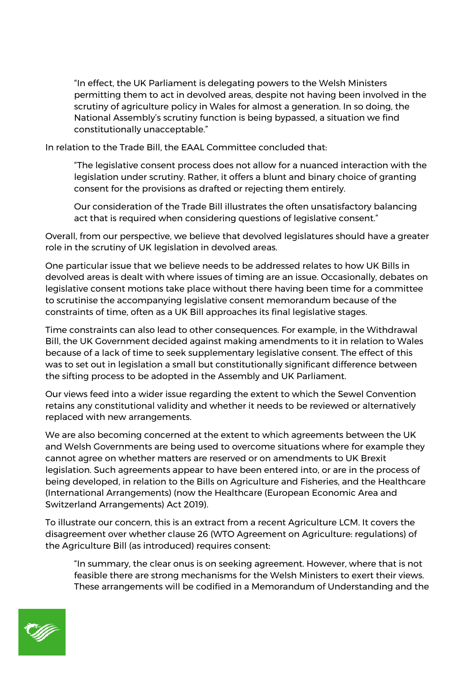"In effect, the UK Parliament is delegating powers to the Welsh Ministers permitting them to act in devolved areas, despite not having been involved in the scrutiny of agriculture policy in Wales for almost a generation. In so doing, the National Assembly's scrutiny function is being bypassed, a situation we find constitutionally unacceptable."

In relation to the Trade Bill, the EAAL Committee concluded that:

"The legislative consent process does not allow for a nuanced interaction with the legislation under scrutiny. Rather, it offers a blunt and binary choice of granting consent for the provisions as drafted or rejecting them entirely.

Our consideration of the Trade Bill illustrates the often unsatisfactory balancing act that is required when considering questions of legislative consent."

Overall, from our perspective, we believe that devolved legislatures should have a greater role in the scrutiny of UK legislation in devolved areas.

One particular issue that we believe needs to be addressed relates to how UK Bills in devolved areas is dealt with where issues of timing are an issue. Occasionally, debates on legislative consent motions take place without there having been time for a committee to scrutinise the accompanying legislative consent memorandum because of the constraints of time, often as a UK Bill approaches its final legislative stages.

Time constraints can also lead to other consequences. For example, in the Withdrawal Bill, the UK Government decided against making amendments to it in relation to Wales because of a lack of time to seek supplementary legislative consent. The effect of this was to set out in legislation a small but constitutionally significant difference between the sifting process to be adopted in the Assembly and UK Parliament.

Our views feed into a wider issue regarding the extent to which the Sewel Convention retains any constitutional validity and whether it needs to be reviewed or alternatively replaced with new arrangements.

We are also becoming concerned at the extent to which agreements between the UK and Welsh Governments are being used to overcome situations where for example they cannot agree on whether matters are reserved or on amendments to UK Brexit legislation. Such agreements appear to have been entered into, or are in the process of being developed, in relation to the Bills on Agriculture and Fisheries, and the Healthcare (International Arrangements) (now the Healthcare (European Economic Area and Switzerland Arrangements) Act 2019).

To illustrate our concern, this is an extract from a recent Agriculture LCM. It covers the disagreement over whether clause 26 (WTO Agreement on Agriculture: regulations) of the Agriculture Bill (as introduced) requires consent:

"In summary, the clear onus is on seeking agreement. However, where that is not feasible there are strong mechanisms for the Welsh Ministers to exert their views. These arrangements will be codified in a Memorandum of Understanding and the

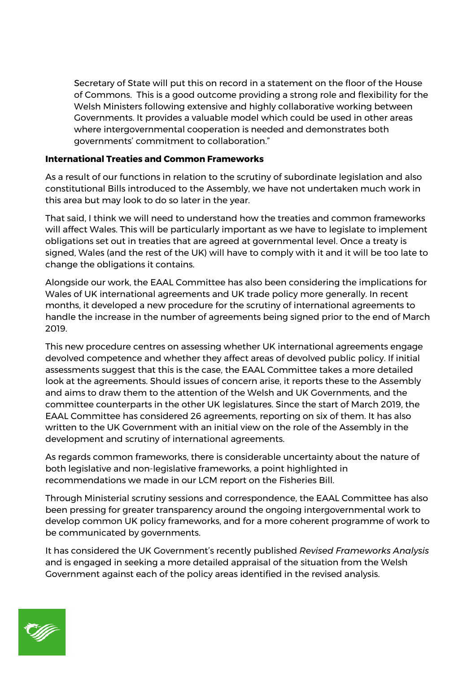Secretary of State will put this on record in a statement on the floor of the House of Commons. This is a good outcome providing a strong role and flexibility for the Welsh Ministers following extensive and highly collaborative working between Governments. It provides a valuable model which could be used in other areas where intergovernmental cooperation is needed and demonstrates both governments' commitment to collaboration."

### **International Treaties and Common Frameworks**

As a result of our functions in relation to the scrutiny of subordinate legislation and also constitutional Bills introduced to the Assembly, we have not undertaken much work in this area but may look to do so later in the year.

That said, I think we will need to understand how the treaties and common frameworks will affect Wales. This will be particularly important as we have to legislate to implement obligations set out in treaties that are agreed at governmental level. Once a treaty is signed, Wales (and the rest of the UK) will have to comply with it and it will be too late to change the obligations it contains.

Alongside our work, the EAAL Committee has also been considering the implications for Wales of UK international agreements and UK trade policy more generally. In recent months, it developed a new procedure for the scrutiny of international agreements to handle the increase in the number of agreements being signed prior to the end of March 2019.

This new procedure centres on assessing whether UK international agreements engage devolved competence and whether they affect areas of devolved public policy. If initial assessments suggest that this is the case, the EAAL Committee takes a more detailed look at the agreements. Should issues of concern arise, it reports these to the Assembly and aims to draw them to the attention of the Welsh and UK Governments, and the committee counterparts in the other UK legislatures. Since the start of March 2019, the EAAL Committee has considered 26 agreements, reporting on six of them. It has also written to the UK Government with an initial view on the role of the Assembly in the development and scrutiny of international agreements.

As regards common frameworks, there is considerable uncertainty about the nature of both legislative and non-legislative frameworks, a point highlighted in recommendations we made in our LCM report on the Fisheries Bill.

Through Ministerial scrutiny sessions and correspondence, the EAAL Committee has also been pressing for greater transparency around the ongoing intergovernmental work to develop common UK policy frameworks, and for a more coherent programme of work to be communicated by governments.

It has considered the UK Government's recently published *Revised Frameworks Analysis* and is engaged in seeking a more detailed appraisal of the situation from the Welsh Government against each of the policy areas identified in the revised analysis.